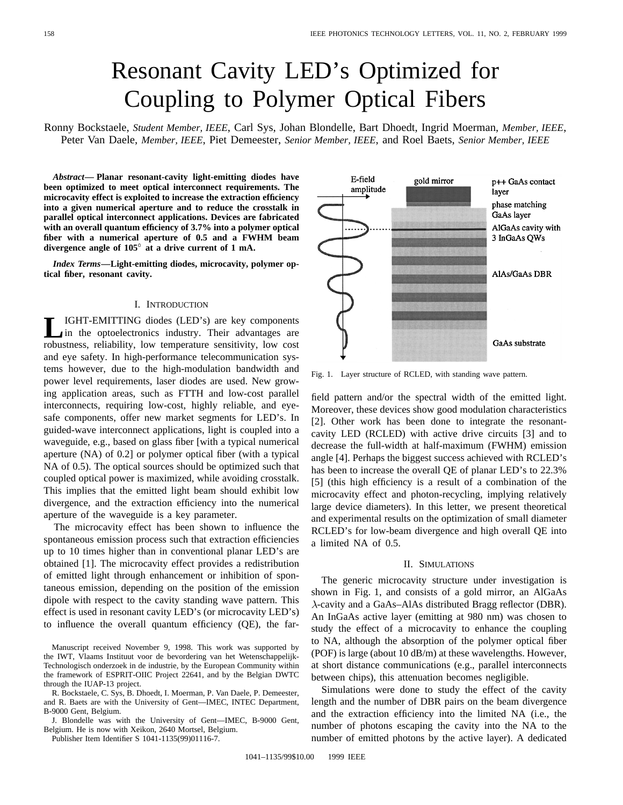# Resonant Cavity LED's Optimized for Coupling to Polymer Optical Fibers

Ronny Bockstaele, *Student Member, IEEE*, Carl Sys, Johan Blondelle, Bart Dhoedt, Ingrid Moerman, *Member, IEEE*, Peter Van Daele, *Member, IEEE*, Piet Demeester, *Senior Member, IEEE*, and Roel Baets, *Senior Member, IEEE*

*Abstract—* **Planar resonant-cavity light-emitting diodes have been optimized to meet optical interconnect requirements. The microcavity effect is exploited to increase the extraction efficiency into a given numerical aperture and to reduce the crosstalk in parallel optical interconnect applications. Devices are fabricated with an overall quantum efficiency of 3.7% into a polymer optical fiber with a numerical aperture of 0.5 and a FWHM beam divergence angle of 105 at a drive current of 1 mA.**

*Index Terms—***Light-emitting diodes, microcavity, polymer optical fiber, resonant cavity.**

## I. INTRODUCTION

**L**IGHT-EMITTING diodes (LED's) are key components in the optoelectronics industry. Their advantages are robustness, reliability, low temperature sensitivity, low cost and eye safety. In high-performance telecommunication systems however, due to the high-modulation bandwidth and power level requirements, laser diodes are used. New growing application areas, such as FTTH and low-cost parallel interconnects, requiring low-cost, highly reliable, and eyesafe components, offer new market segments for LED's. In guided-wave interconnect applications, light is coupled into a waveguide, e.g., based on glass fiber [with a typical numerical aperture (NA) of 0.2] or polymer optical fiber (with a typical NA of 0.5). The optical sources should be optimized such that coupled optical power is maximized, while avoiding crosstalk. This implies that the emitted light beam should exhibit low divergence, and the extraction efficiency into the numerical aperture of the waveguide is a key parameter.

The microcavity effect has been shown to influence the spontaneous emission process such that extraction efficiencies up to 10 times higher than in conventional planar LED's are obtained [1]. The microcavity effect provides a redistribution of emitted light through enhancement or inhibition of spontaneous emission, depending on the position of the emission dipole with respect to the cavity standing wave pattern. This effect is used in resonant cavity LED's (or microcavity LED's) to influence the overall quantum efficiency (QE), the far-

Manuscript received November 9, 1998. This work was supported by the IWT, Vlaams Instituut voor de bevordering van het Wetenschappelijk-Technologisch onderzoek in de industrie, by the European Community within the framework of ESPRIT-OIIC Project 22641, and by the Belgian DWTC through the IUAP-13 project.

R. Bockstaele, C. Sys, B. Dhoedt, I. Moerman, P. Van Daele, P. Demeester, and R. Baets are with the University of Gent—IMEC, INTEC Department, B-9000 Gent, Belgium.

J. Blondelle was with the University of Gent—IMEC, B-9000 Gent, Belgium. He is now with Xeikon, 2640 Mortsel, Belgium.

Publisher Item Identifier S 1041-1135(99)01116-7.

E-field gold mirror p++ GaAs contact amplitude laver phase matching GaAs layer AlGaAs cavity with 3 InGaAs OWs AlAs/GaAs DBR GaAs substrate

Fig. 1. Layer structure of RCLED, with standing wave pattern.

field pattern and/or the spectral width of the emitted light. Moreover, these devices show good modulation characteristics [2]. Other work has been done to integrate the resonantcavity LED (RCLED) with active drive circuits [3] and to decrease the full-width at half-maximum (FWHM) emission angle [4]. Perhaps the biggest success achieved with RCLED's has been to increase the overall QE of planar LED's to 22.3% [5] (this high efficiency is a result of a combination of the microcavity effect and photon-recycling, implying relatively large device diameters). In this letter, we present theoretical and experimental results on the optimization of small diameter RCLED's for low-beam divergence and high overall QE into a limited NA of 0.5.

#### II. SIMULATIONS

The generic microcavity structure under investigation is shown in Fig. 1, and consists of a gold mirror, an AlGaAs  $\lambda$ -cavity and a GaAs–AlAs distributed Bragg reflector (DBR). An InGaAs active layer (emitting at 980 nm) was chosen to study the effect of a microcavity to enhance the coupling to NA, although the absorption of the polymer optical fiber (POF) is large (about 10 dB/m) at these wavelengths. However, at short distance communications (e.g., parallel interconnects between chips), this attenuation becomes negligible.

Simulations were done to study the effect of the cavity length and the number of DBR pairs on the beam divergence and the extraction efficiency into the limited NA (i.e., the number of photons escaping the cavity into the NA to the number of emitted photons by the active layer). A dedicated

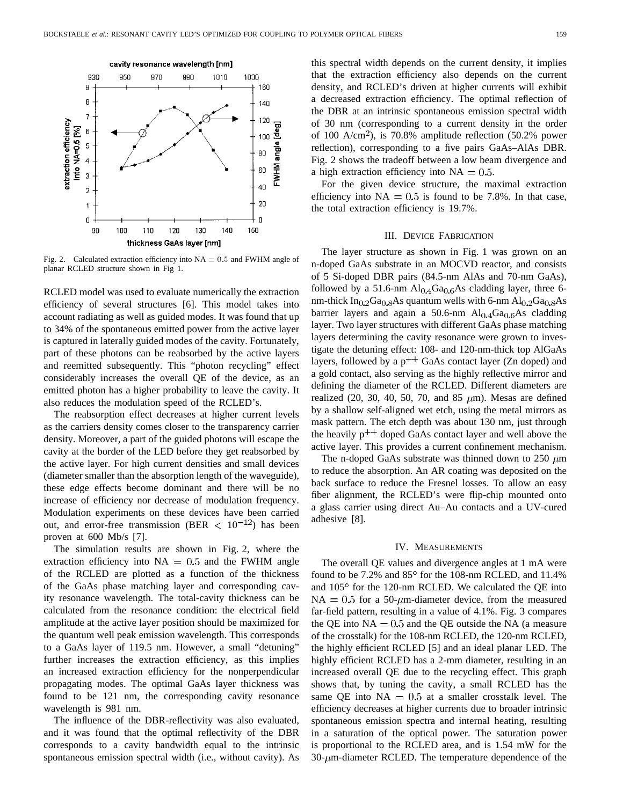

Fig. 2. Calculated extraction efficiency into  $NA = 0.5$  and FWHM angle of planar RCLED structure shown in Fig 1.

RCLED model was used to evaluate numerically the extraction efficiency of several structures [6]. This model takes into account radiating as well as guided modes. It was found that up to 34% of the spontaneous emitted power from the active layer is captured in laterally guided modes of the cavity. Fortunately, part of these photons can be reabsorbed by the active layers and reemitted subsequently. This "photon recycling" effect considerably increases the overall QE of the device, as an emitted photon has a higher probability to leave the cavity. It also reduces the modulation speed of the RCLED's.

The reabsorption effect decreases at higher current levels as the carriers density comes closer to the transparency carrier density. Moreover, a part of the guided photons will escape the cavity at the border of the LED before they get reabsorbed by the active layer. For high current densities and small devices (diameter smaller than the absorption length of the waveguide), these edge effects become dominant and there will be no increase of efficiency nor decrease of modulation frequency. Modulation experiments on these devices have been carried out, and error-free transmission (BER  $< 10^{-12}$ ) has been proven at 600 Mb/s [7].

The simulation results are shown in Fig. 2, where the extraction efficiency into  $NA = 0.5$  and the FWHM angle of the RCLED are plotted as a function of the thickness of the GaAs phase matching layer and corresponding cavity resonance wavelength. The total-cavity thickness can be calculated from the resonance condition: the electrical field amplitude at the active layer position should be maximized for the quantum well peak emission wavelength. This corresponds to a GaAs layer of 119.5 nm. However, a small "detuning" further increases the extraction efficiency, as this implies an increased extraction efficiency for the nonperpendicular propagating modes. The optimal GaAs layer thickness was found to be 121 nm, the corresponding cavity resonance wavelength is 981 nm.

The influence of the DBR-reflectivity was also evaluated, and it was found that the optimal reflectivity of the DBR corresponds to a cavity bandwidth equal to the intrinsic spontaneous emission spectral width (i.e., without cavity). As this spectral width depends on the current density, it implies that the extraction efficiency also depends on the current density, and RCLED's driven at higher currents will exhibit a decreased extraction efficiency. The optimal reflection of the DBR at an intrinsic spontaneous emission spectral width of 30 nm (corresponding to a current density in the order of 100 A/cm<sup>2</sup>), is 70.8% amplitude reflection  $(50.2\%$  power reflection), corresponding to a five pairs GaAs–AlAs DBR. Fig. 2 shows the tradeoff between a low beam divergence and a high extraction efficiency into  $NA = 0.5$ .

For the given device structure, the maximal extraction efficiency into  $NA = 0.5$  is found to be 7.8%. In that case, the total extraction efficiency is 19.7%.

# III. DEVICE FABRICATION

The layer structure as shown in Fig. 1 was grown on an n-doped GaAs substrate in an MOCVD reactor, and consists of 5 Si-doped DBR pairs (84.5-nm AlAs and 70-nm GaAs), followed by a 51.6-nm  $\text{Al}_{0.4}\text{Ga}_{0.6}\text{As}$  cladding layer, three 6nm-thick  $In_{0,2}Ga_{0,8}As$  quantum wells with 6-nm  $Al_{0,2}Ga_{0,8}As$ barrier layers and again a 50.6-nm  $Al<sub>0.4</sub>Ga<sub>0.6</sub>As cladding$ layer. Two layer structures with different GaAs phase matching layers determining the cavity resonance were grown to investigate the detuning effect: 108- and 120-nm-thick top AlGaAs layers, followed by a  $p^{++}$  GaAs contact layer (Zn doped) and a gold contact, also serving as the highly reflective mirror and defining the diameter of the RCLED. Different diameters are realized (20, 30, 40, 50, 70, and 85  $\mu$ m). Mesas are defined by a shallow self-aligned wet etch, using the metal mirrors as mask pattern. The etch depth was about 130 nm, just through the heavily  $p^{++}$  doped GaAs contact layer and well above the active layer. This provides a current confinement mechanism.

The n-doped GaAs substrate was thinned down to 250  $\mu$ m to reduce the absorption. An AR coating was deposited on the back surface to reduce the Fresnel losses. To allow an easy fiber alignment, the RCLED's were flip-chip mounted onto a glass carrier using direct Au–Au contacts and a UV-cured adhesive [8].

## IV. MEASUREMENTS

The overall QE values and divergence angles at 1 mA were found to be 7.2% and  $85^{\circ}$  for the 108-nm RCLED, and 11.4% and  $105^{\circ}$  for the 120-nm RCLED. We calculated the QE into  $NA = 0.5$  for a 50- $\mu$ m-diameter device, from the measured far-field pattern, resulting in a value of 4.1%. Fig. 3 compares the QE into  $NA = 0.5$  and the QE outside the NA (a measure of the crosstalk) for the 108-nm RCLED, the 120-nm RCLED, the highly efficient RCLED [5] and an ideal planar LED. The highly efficient RCLED has a 2-mm diameter, resulting in an increased overall QE due to the recycling effect. This graph shows that, by tuning the cavity, a small RCLED has the same QE into  $NA = 0.5$  at a smaller crosstalk level. The efficiency decreases at higher currents due to broader intrinsic spontaneous emission spectra and internal heating, resulting in a saturation of the optical power. The saturation power is proportional to the RCLED area, and is 1.54 mW for the  $30$ - $\mu$ m-diameter RCLED. The temperature dependence of the